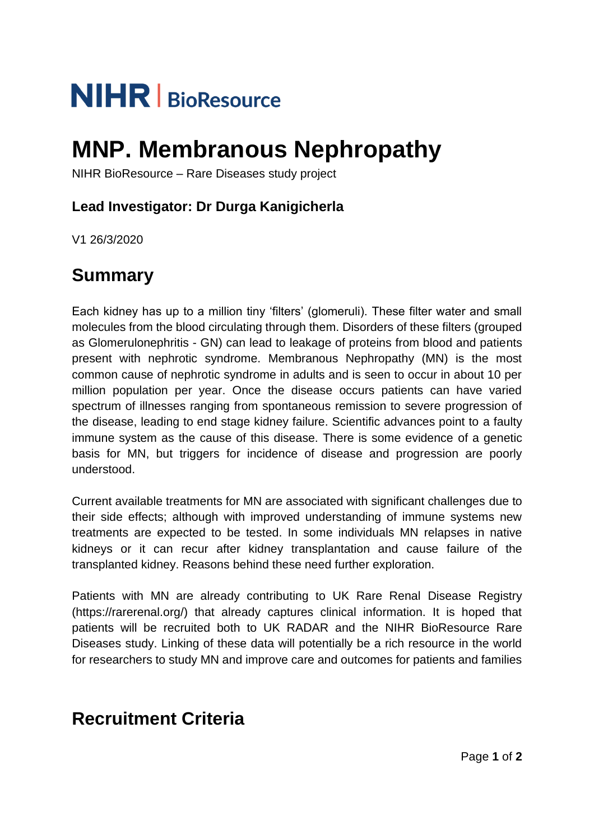# **NIHR** | BioResource

## **MNP. Membranous Nephropathy**

NIHR BioResource – Rare Diseases study project

## **Lead Investigator: Dr Durga Kanigicherla**

V1 26/3/2020

## **Summary**

Each kidney has up to a million tiny 'filters' (glomeruli). These filter water and small molecules from the blood circulating through them. Disorders of these filters (grouped as Glomerulonephritis - GN) can lead to leakage of proteins from blood and patients present with nephrotic syndrome. Membranous Nephropathy (MN) is the most common cause of nephrotic syndrome in adults and is seen to occur in about 10 per million population per year. Once the disease occurs patients can have varied spectrum of illnesses ranging from spontaneous remission to severe progression of the disease, leading to end stage kidney failure. Scientific advances point to a faulty immune system as the cause of this disease. There is some evidence of a genetic basis for MN, but triggers for incidence of disease and progression are poorly understood.

Current available treatments for MN are associated with significant challenges due to their side effects; although with improved understanding of immune systems new treatments are expected to be tested. In some individuals MN relapses in native kidneys or it can recur after kidney transplantation and cause failure of the transplanted kidney. Reasons behind these need further exploration.

Patients with MN are already contributing to UK Rare Renal Disease Registry (https://rarerenal.org/) that already captures clinical information. It is hoped that patients will be recruited both to UK RADAR and the NIHR BioResource Rare Diseases study. Linking of these data will potentially be a rich resource in the world for researchers to study MN and improve care and outcomes for patients and families

## **Recruitment Criteria**